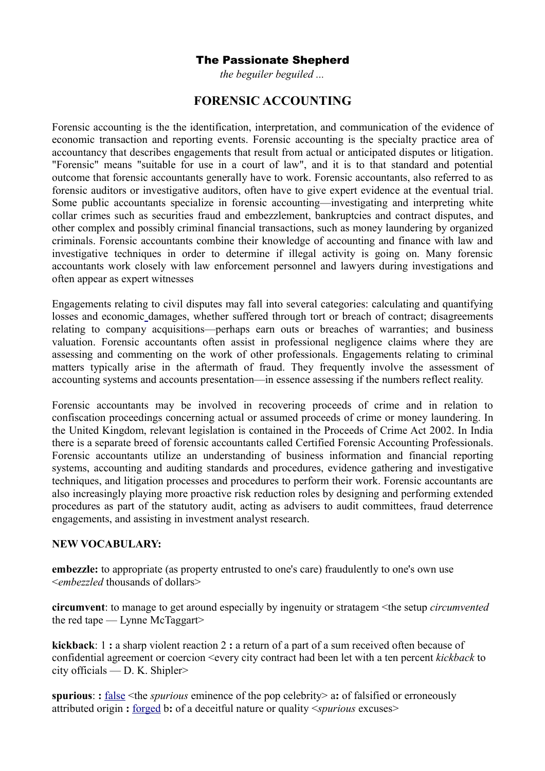## The Passionate Shepherd

*the beguiler beguiled ...*

## **FORENSIC ACCOUNTING**

Forensic accounting is the the identification, interpretation, and communication of the evidence of economic transaction and reporting events. Forensic accounting is the specialty practice area of [accountancy](http://en.wikipedia.org/wiki/Accountancy) that describes engagements that result from actual or anticipated disputes or [litigation.](http://en.wikipedia.org/wiki/Litigation) "Forensic" means "suitable for use in a court of law", and it is to that standard and potential outcome that forensic accountants generally have to work. Forensic accountants, also referred to as forensic auditors or investigative auditors, often have to give expert evidence at the eventual trial. Some public accountants specialize in forensic accounting—investigating and interpreting white collar crimes such as securities fraud and embezzlement, bankruptcies and contract disputes, and other complex and possibly criminal financial transactions, such as money laundering by organized criminals. Forensic accountants combine their knowledge of accounting and finance with law and investigative techniques in order to determine if illegal activity is going on. Many forensic accountants work closely with law enforcement personnel and lawyers during investigations and often appear as expert witnesses

Engagements relating to civil disputes may fall into several categories: calculating and quantifying losses and [economic](http://en.wikipedia.org/wiki/Damages) [damages,](http://en.wikipedia.org/wiki/Damages) whether suffered through [tort](http://en.wikipedia.org/wiki/Tort) or [breach of contract;](http://en.wikipedia.org/wiki/Breach_of_contract) disagreements relating to company acquisitions—perhaps [earn outs](http://en.wikipedia.org/wiki/Earn_out) or breaches of [warranties;](http://en.wikipedia.org/wiki/Warranty) and [business](http://en.wikipedia.org/wiki/Business_valuation) [valuation.](http://en.wikipedia.org/wiki/Business_valuation) Forensic accountants often assist in professional [negligence](http://en.wikipedia.org/wiki/Negligence) claims where they are assessing and commenting on the work of other professionals. Engagements relating to criminal matters typically arise in the aftermath of fraud. They frequently involve the assessment of accounting systems and accounts presentation—in essence assessing if the numbers reflect reality.

Forensic accountants may be involved in recovering proceeds of crime and in relation to confiscation proceedings concerning actual or assumed proceeds of crime or money laundering. In the United Kingdom, relevant legislation is contained in the Proceeds of Crime Act 2002. In India there is a separate breed of forensic accountants called Certified Forensic Accounting Professionals. Forensic accountants utilize an understanding of business information and financial reporting systems, accounting and auditing standards and procedures, evidence gathering and investigative techniques, and litigation processes and procedures to perform their work. Forensic accountants are also increasingly playing more proactive risk reduction roles by designing and performing extended procedures as part of the statutory audit, acting as advisers to audit committees, fraud deterrence engagements, and assisting in investment analyst research.

## **NEW VOCABULARY:**

**embezzle:** to appropriate (as property entrusted to one's care) fraudulently to one's own use <*embezzled* thousands of dollars>

**circumvent**: to manage to get around especially by ingenuity or stratagem <the setup *circumvented* the red tape — Lynne McTaggart>

**kickback**: 1 **:** a sharp violent reaction 2 **:** a return of a part of a sum received often because of confidential agreement or coercion <every city contract had been let with a ten percent *kickback* to city officials — D. K. Shipler>

**spurious**: **:** [false](http://www.merriam-webster.com/dictionary/false) <the *spurious* eminence of the pop celebrity> a**:** of falsified or erroneously attributed origin **:** [forged](http://www.merriam-webster.com/dictionary/forged) b**:** of a deceitful nature or quality <*spurious* excuses>